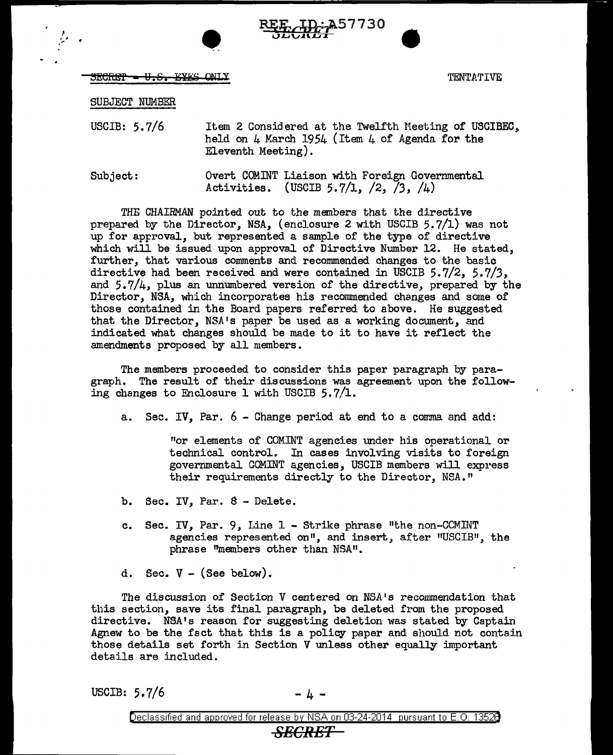



 $\texttt{SECHEP}\texttt{ = U.E.}\texttt{ = EYES}$   $\texttt{ONLY}$   $\texttt{MY.}\texttt{[FN}$ 

SUBJECT NUMBER

I

USCIB: 5.7/6 Item 2 Considered at the Twelfth Meeting of USCIBEC. held on  $\mu$  March 195 $\mu$  (Item  $\mu$  of Agenda for the Eleventh Meeting).

Subject: Overt COMINT Liaison with Foreign Governmental Activities. (USCIB 5.7/1, /2, */3,* /4)

THE CHAIRMAN pointed out to the members that the directive prepared by the Director, NSA, (enclosure 2 with USCIB 5.7/1) was not up for approval, but represented a sample of the type of directive which will be issued upon approval of Directive Number 12. He stated, further, that various comments and recommended changes to the basic directive had been received and were contained in USCIB 5.7/2, 5.7/3, and  $5.7/4$ , plus an unnumbered version of the directive, prepared by the Director. NSA, which incorporates his recommended changes and some of those contained in the Board papers referred to above. He suggested that the Director, NSA's paper be used as a working document, and indicated what changes should be made to it to have it reflect the amendments proposed by all members.

The members proceeded to consider this paper paragraph by paragraph. The result of their discussions was agreement upon the following changes to Enclosure 1 with USCIB 5.7/1.

a. Sec. IV, Par.  $6$  - Change period at end to a comma and add:

"or elements of COMINT agencies under his operational or technical control. In cases involving visits to foreign governmental GOMINT agencies, USCIB members will express their requirements directly to the Director, NSA."

- b. Sec. IV, Par. 8 Delete.
- c. Sec. IV, Par. 9, Line 1 Strike phrase "the non-CCMINT agencies represented on", and insert, after "USCIB", the phrase "members other than NSA".
- d. Sec.  $V -$  (See below).

The discussion of Section V centered on NSA's recommendation that this section, save its final paragraph, be deleted from the proposed directive. NSA's reason for suggesting deletion was stated by Captain Agnew to be the fact that this is a policy paper and should not contain those details set forth in Section V unless other equally important details are included.

USCIB:  $5.7/6$  -  $4 -$ 

*SECRET*